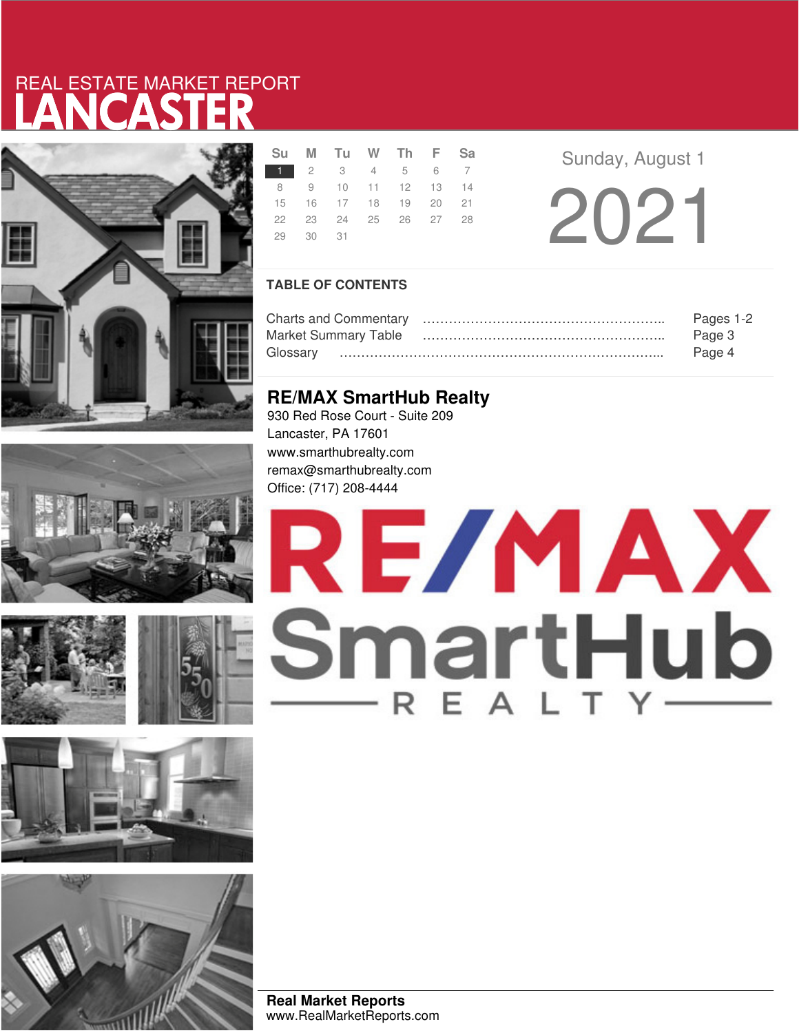# LANCASTER REAL ESTATE MARKET REPORT













|          | Su M Tu W Th F Sa    |  |  |  |  |
|----------|----------------------|--|--|--|--|
|          | 1 2 3 4 5 6 7        |  |  |  |  |
|          | 8 9 10 11 12 13 14   |  |  |  |  |
|          | 15 16 17 18 19 20 21 |  |  |  |  |
|          | 22 23 24 25 26 27 28 |  |  |  |  |
| 29 30 31 |                      |  |  |  |  |

**Sunday, August 1** 

2021

## **TABLE OF CONTENTS**

|                             | Pages 1-2 |
|-----------------------------|-----------|
| <b>Market Summary Table</b> | Page 3    |
| Glossarv                    | Page 4    |

## **RE/MAX SmartHub Realty**

930 Red Rose Court - Suite 209 Lancaster, PA 17601 www.smarthubrealty.com remax@smarthubrealty.com Office: (717) 208-4444

# RE/MAX SmartHub

**Real Market Reports** www.RealMarketReports.com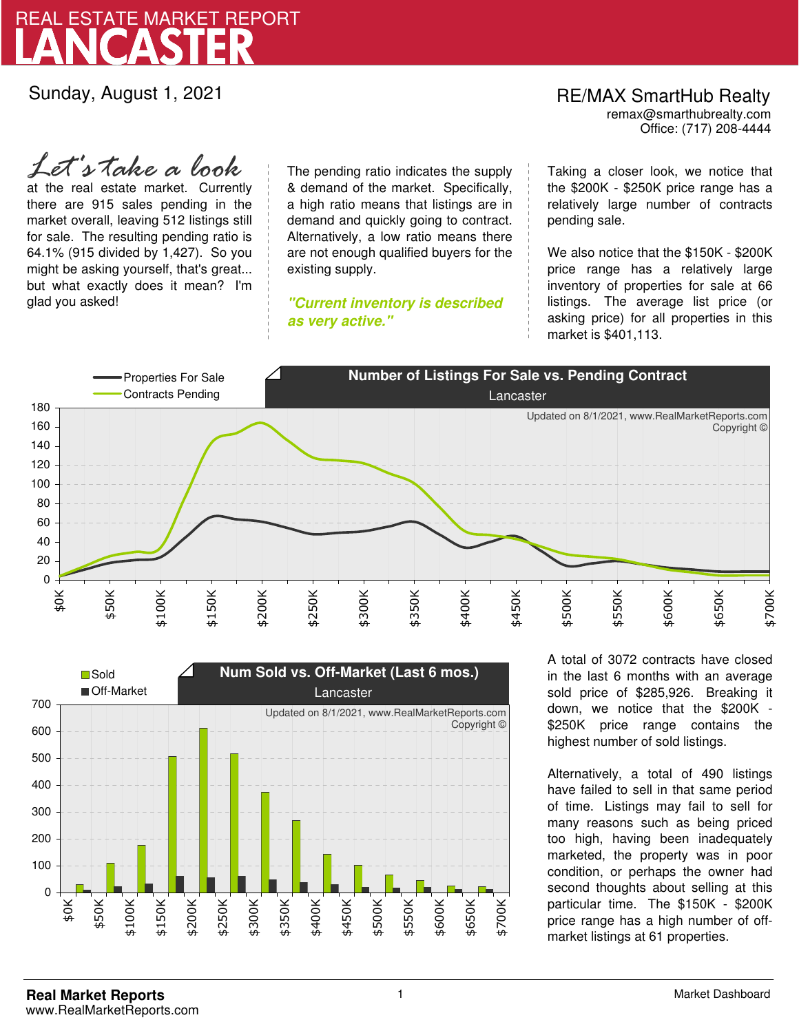

Sunday, August 1, 2021

## Office: (717) 208-4444 RE/MAX SmartHub Realty remax@smarthubrealty.com

at the real estate market. Currently there are 915 sales pending in the market overall, leaving 512 listings still for sale. The resulting pending ratio is 64.1% (915 divided by 1,427). So you might be asking yourself, that's great... but what exactly does it mean? I'm glad you asked! *Let's take a look*

The pending ratio indicates the supply & demand of the market. Specifically, a high ratio means that listings are in demand and quickly going to contract. Alternatively, a low ratio means there are not enough qualified buyers for the existing supply.

**"Current inventory is described as very active."**

Taking a closer look, we notice that the \$200K - \$250K price range has a relatively large number of contracts pending sale.

We also notice that the \$150K - \$200K price range has a relatively large inventory of properties for sale at 66 listings. The average list price (or asking price) for all properties in this market is \$401,113.





A total of 3072 contracts have closed in the last 6 months with an average sold price of \$285,926. Breaking it down, we notice that the \$200K - \$250K price range contains the highest number of sold listings.

Alternatively, a total of 490 listings have failed to sell in that same period of time. Listings may fail to sell for many reasons such as being priced too high, having been inadequately marketed, the property was in poor condition, or perhaps the owner had second thoughts about selling at this particular time. The \$150K - \$200K price range has a high number of offmarket listings at 61 properties.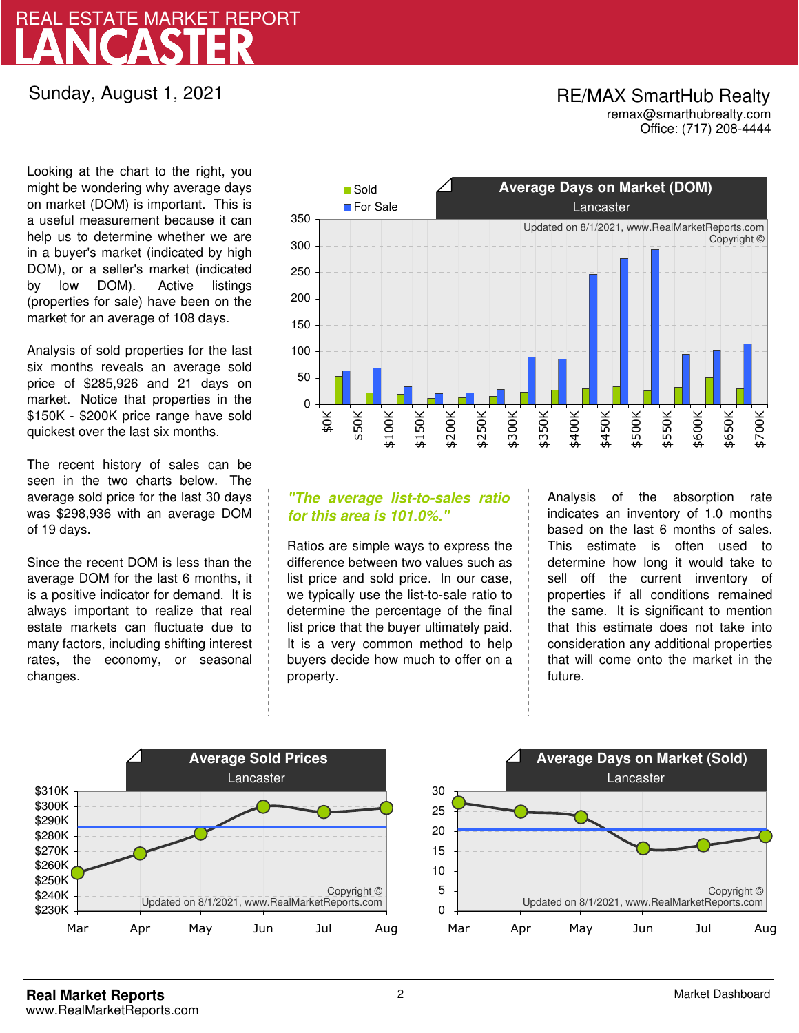# LANCASTER REAL ESTATE MARKET REPORT

## Sunday, August 1, 2021

## RE/MAX SmartHub Realty remax@smarthubrealty.com

Office: (717) 208-4444

Looking at the chart to the right, you might be wondering why average days on market (DOM) is important. This is a useful measurement because it can help us to determine whether we are in a buyer's market (indicated by high DOM), or a seller's market (indicated by low DOM). Active listings (properties for sale) have been on the market for an average of 108 days.

Analysis of sold properties for the last six months reveals an average sold price of \$285,926 and 21 days on market. Notice that properties in the \$150K - \$200K price range have sold quickest over the last six months.

The recent history of sales can be seen in the two charts below. The average sold price for the last 30 days was \$298,936 with an average DOM of 19 days.

Since the recent DOM is less than the average DOM for the last 6 months, it is a positive indicator for demand. It is always important to realize that real estate markets can fluctuate due to many factors, including shifting interest rates, the economy, or seasonal changes.



## **"The average list-to-sales ratio for this area is 101.0%."**

Ratios are simple ways to express the difference between two values such as list price and sold price. In our case, we typically use the list-to-sale ratio to determine the percentage of the final list price that the buyer ultimately paid. It is a very common method to help buyers decide how much to offer on a property.

Analysis of the absorption rate indicates an inventory of 1.0 months based on the last 6 months of sales. This estimate is often used to determine how long it would take to sell off the current inventory of properties if all conditions remained the same. It is significant to mention that this estimate does not take into consideration any additional properties that will come onto the market in the future.



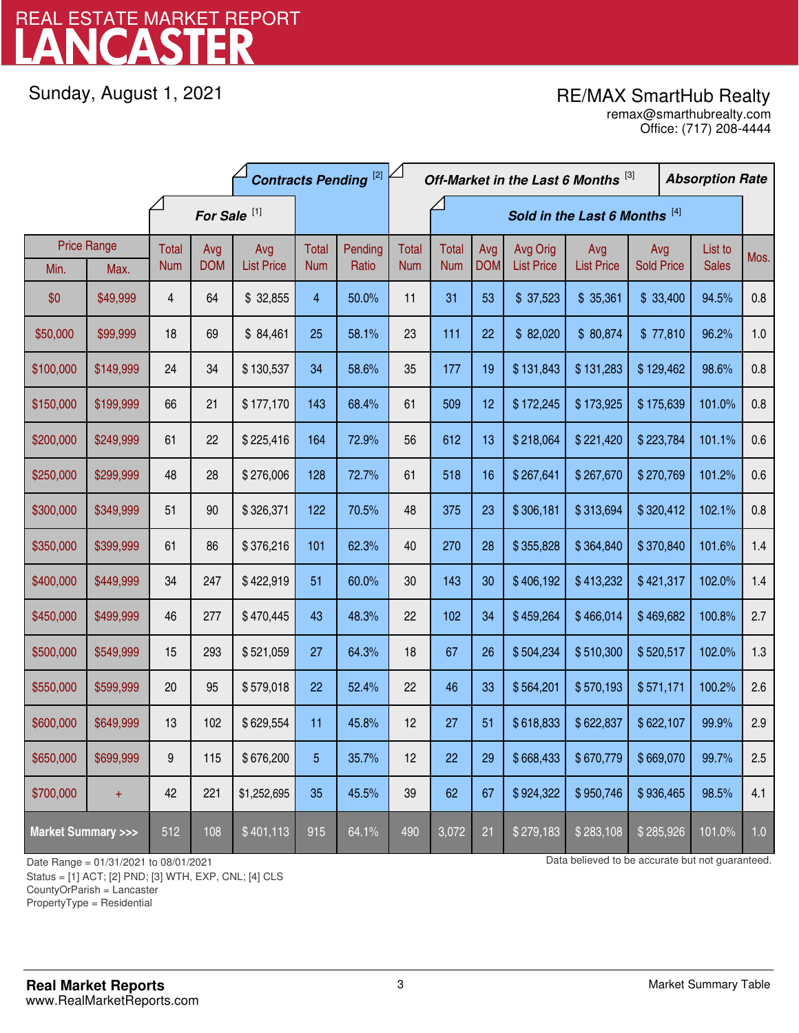# LANCASTER REAL ESTATE MARKET REPORT

Sunday, August 1, 2021

## RE/MAX SmartHub Realty

Office: (717) 208-4444 remax@smarthubrealty.com

|                                    |                    | <b>Contracts Pending [2]</b> |            |                   |            |                               | Off-Market in the Last 6 Months [3] |              |            |                   |                   | <b>Absorption Rate</b> |  |              |      |
|------------------------------------|--------------------|------------------------------|------------|-------------------|------------|-------------------------------|-------------------------------------|--------------|------------|-------------------|-------------------|------------------------|--|--------------|------|
|                                    |                    | For Sale <sup>[1]</sup>      |            |                   |            | Sold in the Last 6 Months [4] |                                     |              |            |                   |                   |                        |  |              |      |
|                                    | <b>Price Range</b> | <b>Total</b>                 | Avg        | Avg               | Total      | Pending                       | <b>Total</b>                        | <b>Total</b> | Avg        | Avg Orig          | Avg               | Avg                    |  | List to      | Mos. |
| Min.                               | Max.               | <b>Num</b>                   | <b>DOM</b> | <b>List Price</b> | <b>Num</b> | Ratio                         | <b>Num</b>                          | <b>Num</b>   | <b>DOM</b> | <b>List Price</b> | <b>List Price</b> | <b>Sold Price</b>      |  | <b>Sales</b> |      |
| \$0                                | \$49,999           | 4                            | 64         | \$32,855          | 4          | 50.0%                         | 11                                  | 31           | 53         | \$37,523          | \$35,361          | \$33,400               |  | 94.5%        | 0.8  |
| \$50,000                           | \$99,999           | 18                           | 69         | \$84,461          | 25         | 58.1%                         | 23                                  | 111          | 22         | \$82,020          | \$80,874          | \$77,810               |  | 96.2%        | 1.0  |
| \$100,000                          | \$149,999          | 24                           | 34         | \$130,537         | 34         | 58.6%                         | 35                                  | 177          | 19         | \$131,843         | \$131,283         | \$129,462              |  | 98.6%        | 0.8  |
| \$150,000                          | \$199,999          | 66                           | 21         | \$177,170         | 143        | 68.4%                         | 61                                  | 509          | 12         | \$172,245         | \$173,925         | \$175,639              |  | 101.0%       | 0.8  |
| \$200,000                          | \$249,999          | 61                           | 22         | \$225,416         | 164        | 72.9%                         | 56                                  | 612          | 13         | \$218,064         | \$221,420         | \$223,784              |  | 101.1%       | 0.6  |
| \$250,000                          | \$299,999          | 48                           | 28         | \$276,006         | 128        | 72.7%                         | 61                                  | 518          | 16         | \$267,641         | \$267,670         | \$270,769              |  | 101.2%       | 0.6  |
| \$300,000                          | \$349,999          | 51                           | 90         | \$326,371         | 122        | 70.5%                         | 48                                  | 375          | 23         | \$306,181         | \$313,694         | \$320,412              |  | 102.1%       | 0.8  |
| \$350,000                          | \$399,999          | 61                           | 86         | \$376,216         | 101        | 62.3%                         | 40                                  | 270          | 28         | \$355,828         | \$364,840         | \$370,840              |  | 101.6%       | 1.4  |
| \$400,000                          | \$449,999          | 34                           | 247        | \$422,919         | 51         | 60.0%                         | 30                                  | 143          | 30         | \$406,192         | \$413,232         | \$421,317              |  | 102.0%       | 1.4  |
| \$450,000                          | \$499,999          | 46                           | 277        | \$470,445         | 43         | 48.3%                         | 22                                  | 102          | 34         | \$459,264         | \$466,014         | \$469,682              |  | 100.8%       | 2.7  |
| \$500,000                          | \$549,999          | 15                           | 293        | \$521,059         | 27         | 64.3%                         | 18                                  | 67           | 26         | \$504,234         | \$510,300         | \$520,517              |  | 102.0%       | 1.3  |
| \$550,000                          | \$599,999          | 20                           | 95         | \$579,018         | 22         | 52.4%                         | 22                                  | 46           | 33         | \$564,201         | \$570,193         | \$571,171              |  | 100.2%       | 2.6  |
| \$600,000                          | \$649,999          | 13                           | 102        | \$629,554         | 11         | 45.8%                         | 12                                  | 27           | 51         | \$618,833         | \$622,837         | \$622,107              |  | 99.9%        | 2.9  |
| \$650,000                          | \$699,999          | 9                            | 115        | \$676,200         | 5          | 35.7%                         | 12                                  | 22           | 29         | \$668,433         | \$670,779         | \$669,070              |  | 99.7%        | 2.5  |
| \$700,000                          | $+$                | 42                           | 221        | \$1,252,695       | 35         | 45.5%                         | 39                                  | 62           | 67         | \$924,322         | \$950,746         | \$936,465              |  | 98.5%        | 4.1  |
| <b>Market Summary &gt;&gt;&gt;</b> |                    | 512                          | 108        | \$401,113         | 915        | 64.1%                         | 490                                 | 3,072        | 21         | \$279,183         | \$283,108         | \$285,926              |  | 101.0%       | 1.0  |

Status = [1] ACT; [2] PND; [3] WTH, EXP, CNL; [4] CLS

CountyOrParish = Lancaster

PropertyType = Residential

1

Date Range = 01/31/2021 to 08/01/2021 Data believed to be accurate but not guaranteed.